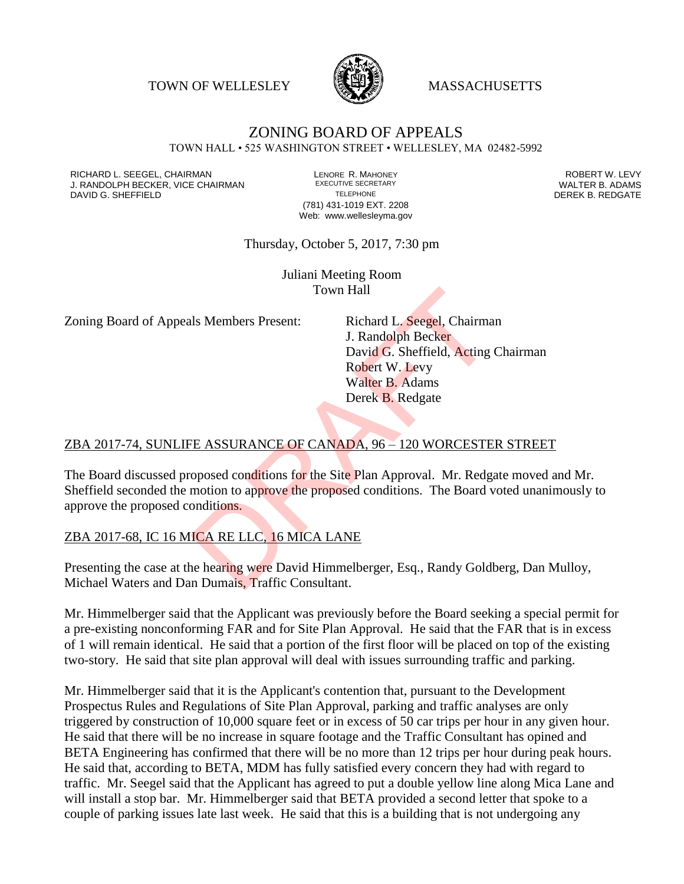TOWN OF WELLESLEY **WASSACHUSETTS** 



#### ZONING BOARD OF APPEALS TOWN HALL • 525 WASHINGTON STREET • WELLESLEY, MA 02482-5992

RICHARD L. SEEGEL, CHAIRMAN LENORE R. MAHONEY ROBERT W. LEVY J. RANDOLPH BECKER, VICE CHAIRMAN EXECUTIVE SECRETARY THE SANDOLPH BECKER B. ADAMS<br>DEREK B. REDGATE TELEPHONE THE THE THE SAND DEREK B. REDGATE

(781) 431-1019 EXT. 2208 Web: www.wellesleyma.gov DEREK B. REDGATE

Thursday, October 5, 2017, 7:30 pm

Juliani Meeting Room Town Hall

Zoning Board of Appeals Members Present: Richard L. Seegel, Chairman

J. Randolph Becker David G. Sheffield, Acting Chairman Robert W. Levy Walter B. Adams Derek B. Redgate

# ZBA 2017-74, SUNLIFE ASSURANCE OF CANADA, 96 – 120 WORCESTER STREET

The Board discussed proposed conditions for the Site Plan Approval. Mr. Redgate moved and Mr. Sheffield seconded the motion to approve the proposed conditions. The Board voted unanimously to approve the proposed conditions. Town Hall<br>
Is Members Present: Richard L. Seegel, Chairma<br>
J. Randolph Becker<br>
David G. Sheffield, Acting<br>
Robert W. Levy<br>
Walter B. Adams<br>
Derek B. Redgate<br>
TE ASSURANCE OF CANADA, 96 – 120 WORCESTE<br>
oposed conditions for

### ZBA 2017-68, IC 16 MICA RE LLC, 16 MICA LANE

Presenting the case at the hearing were David Himmelberger, Esq., Randy Goldberg, Dan Mulloy, Michael Waters and Dan Dumais, Traffic Consultant.

Mr. Himmelberger said that the Applicant was previously before the Board seeking a special permit for a pre-existing nonconforming FAR and for Site Plan Approval. He said that the FAR that is in excess of 1 will remain identical. He said that a portion of the first floor will be placed on top of the existing two-story. He said that site plan approval will deal with issues surrounding traffic and parking.

Mr. Himmelberger said that it is the Applicant's contention that, pursuant to the Development Prospectus Rules and Regulations of Site Plan Approval, parking and traffic analyses are only triggered by construction of 10,000 square feet or in excess of 50 car trips per hour in any given hour. He said that there will be no increase in square footage and the Traffic Consultant has opined and BETA Engineering has confirmed that there will be no more than 12 trips per hour during peak hours. He said that, according to BETA, MDM has fully satisfied every concern they had with regard to traffic. Mr. Seegel said that the Applicant has agreed to put a double yellow line along Mica Lane and will install a stop bar. Mr. Himmelberger said that BETA provided a second letter that spoke to a couple of parking issues late last week. He said that this is a building that is not undergoing any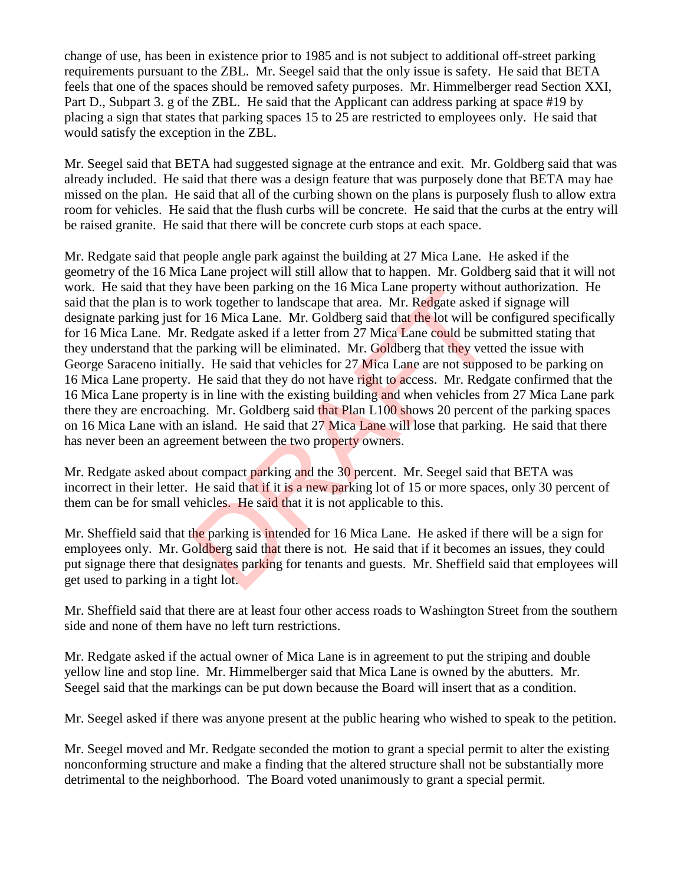change of use, has been in existence prior to 1985 and is not subject to additional off-street parking requirements pursuant to the ZBL. Mr. Seegel said that the only issue is safety. He said that BETA feels that one of the spaces should be removed safety purposes. Mr. Himmelberger read Section XXI, Part D., Subpart 3. g of the ZBL. He said that the Applicant can address parking at space #19 by placing a sign that states that parking spaces 15 to 25 are restricted to employees only. He said that would satisfy the exception in the ZBL.

Mr. Seegel said that BETA had suggested signage at the entrance and exit. Mr. Goldberg said that was already included. He said that there was a design feature that was purposely done that BETA may hae missed on the plan. He said that all of the curbing shown on the plans is purposely flush to allow extra room for vehicles. He said that the flush curbs will be concrete. He said that the curbs at the entry will be raised granite. He said that there will be concrete curb stops at each space.

Mr. Redgate said that people angle park against the building at 27 Mica Lane. He asked if the geometry of the 16 Mica Lane project will still allow that to happen. Mr. Goldberg said that it will not work. He said that they have been parking on the 16 Mica Lane property without authorization. He said that the plan is to work together to landscape that area. Mr. Redgate asked if signage will designate parking just for 16 Mica Lane. Mr. Goldberg said that the lot will be configured specifically for 16 Mica Lane. Mr. Redgate asked if a letter from 27 Mica Lane could be submitted stating that they understand that the parking will be eliminated. Mr. Goldberg that they vetted the issue with George Saraceno initially. He said that vehicles for 27 Mica Lane are not supposed to be parking on 16 Mica Lane property. He said that they do not have right to access. Mr. Redgate confirmed that the 16 Mica Lane property is in line with the existing building and when vehicles from 27 Mica Lane park there they are encroaching. Mr. Goldberg said that Plan L100 shows 20 percent of the parking spaces on 16 Mica Lane with an island. He said that 27 Mica Lane will lose that parking. He said that there has never been an agreement between the two property owners. The value of the Internal and the Source of the said that if it becomes<br>increase that the parking on the Internal and the lot will be of<br>Redgate asked if a letter from 27 Mica Lane could be sult parking will be eliminated.

Mr. Redgate asked about compact parking and the 30 percent. Mr. Seegel said that BETA was incorrect in their letter. He said that if it is a new parking lot of 15 or more spaces, only 30 percent of them can be for small vehicles. He said that it is not applicable to this.

Mr. Sheffield said that the parking is intended for 16 Mica Lane. He asked if there will be a sign for employees only. Mr. Goldberg said that there is not. He said that if it becomes an issues, they could put signage there that designates parking for tenants and guests. Mr. Sheffield said that employees will get used to parking in a tight lot.

Mr. Sheffield said that there are at least four other access roads to Washington Street from the southern side and none of them have no left turn restrictions.

Mr. Redgate asked if the actual owner of Mica Lane is in agreement to put the striping and double yellow line and stop line. Mr. Himmelberger said that Mica Lane is owned by the abutters. Mr. Seegel said that the markings can be put down because the Board will insert that as a condition.

Mr. Seegel asked if there was anyone present at the public hearing who wished to speak to the petition.

Mr. Seegel moved and Mr. Redgate seconded the motion to grant a special permit to alter the existing nonconforming structure and make a finding that the altered structure shall not be substantially more detrimental to the neighborhood. The Board voted unanimously to grant a special permit.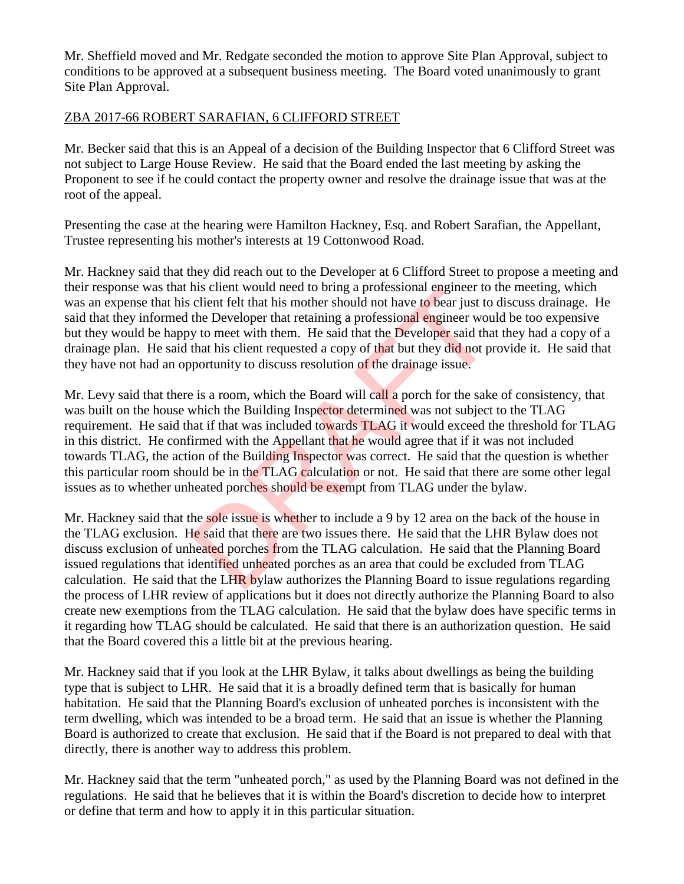Mr. Sheffield moved and Mr. Redgate seconded the motion to approve Site Plan Approval, subject to conditions to be approved at a subsequent business meeting. The Board voted unanimously to grant Site Plan Approval.

### ZBA 2017-66 ROBERT SARAFIAN, 6 CLIFFORD STREET

Mr. Becker said that this is an Appeal of a decision of the Building Inspector that 6 Clifford Street was not subject to Large House Review. He said that the Board ended the last meeting by asking the Proponent to see if he could contact the property owner and resolve the drainage issue that was at the root of the appeal.

Presenting the case at the hearing were Hamilton Hackney, Esq. and Robert Sarafian, the Appellant, Trustee representing his mother's interests at 19 Cottonwood Road.

Mr. Hackney said that they did reach out to the Developer at 6 Clifford Street to propose a meeting and their response was that his client would need to bring a professional engineer to the meeting, which was an expense that his client felt that his mother should not have to bear just to discuss drainage. He said that they informed the Developer that retaining a professional engineer would be too expensive but they would be happy to meet with them. He said that the Developer said that they had a copy of a drainage plan. He said that his client requested a copy of that but they did not provide it. He said that they have not had an opportunity to discuss resolution of the drainage issue.

Mr. Levy said that there is a room, which the Board will call a porch for the sake of consistency, that was built on the house which the Building Inspector determined was not subject to the TLAG requirement. He said that if that was included towards TLAG it would exceed the threshold for TLAG in this district. He confirmed with the Appellant that he would agree that if it was not included towards TLAG, the action of the Building Inspector was correct. He said that the question is whether this particular room should be in the TLAG calculation or not. He said that there are some other legal issues as to whether unheated porches should be exempt from TLAG under the bylaw. the Developer that his mother and the UHR by a processional engineer to<br>client felt that his mother should not have to bear just to<br>the Developer that retaining a professional engineer wou<br>y to meet with them. He said that

Mr. Hackney said that the sole issue is whether to include a 9 by 12 area on the back of the house in the TLAG exclusion. He said that there are two issues there. He said that the LHR Bylaw does not discuss exclusion of unheated porches from the TLAG calculation. He said that the Planning Board issued regulations that identified unheated porches as an area that could be excluded from TLAG calculation. He said that the LHR bylaw authorizes the Planning Board to issue regulations regarding the process of LHR review of applications but it does not directly authorize the Planning Board to also create new exemptions from the TLAG calculation. He said that the bylaw does have specific terms in it regarding how TLAG should be calculated. He said that there is an authorization question. He said that the Board covered this a little bit at the previous hearing.

Mr. Hackney said that if you look at the LHR Bylaw, it talks about dwellings as being the building type that is subject to LHR. He said that it is a broadly defined term that is basically for human habitation. He said that the Planning Board's exclusion of unheated porches is inconsistent with the term dwelling, which was intended to be a broad term. He said that an issue is whether the Planning Board is authorized to create that exclusion. He said that if the Board is not prepared to deal with that directly, there is another way to address this problem.

Mr. Hackney said that the term "unheated porch," as used by the Planning Board was not defined in the regulations. He said that he believes that it is within the Board's discretion to decide how to interpret or define that term and how to apply it in this particular situation.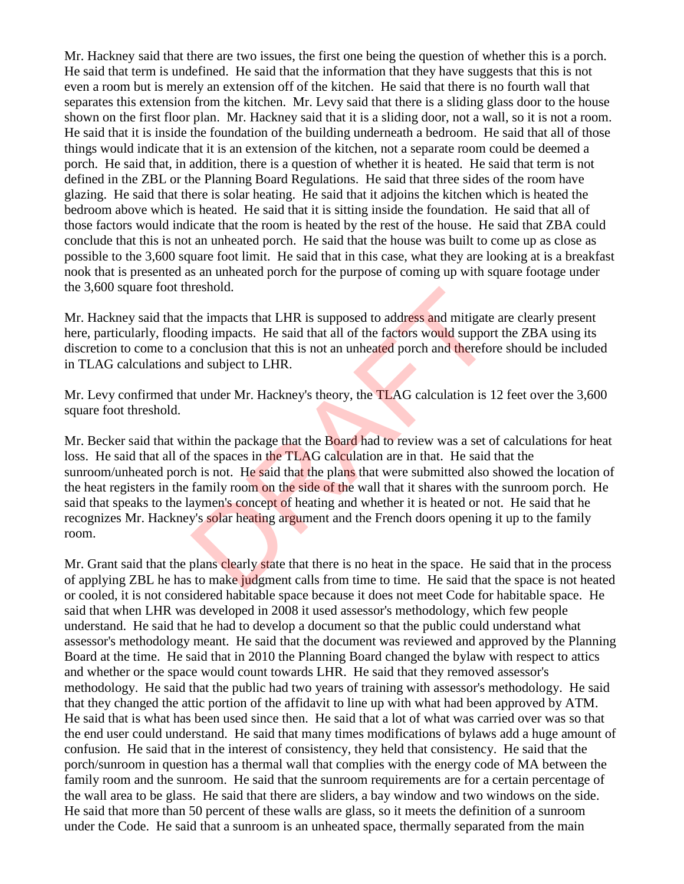Mr. Hackney said that there are two issues, the first one being the question of whether this is a porch. He said that term is undefined. He said that the information that they have suggests that this is not even a room but is merely an extension off of the kitchen. He said that there is no fourth wall that separates this extension from the kitchen. Mr. Levy said that there is a sliding glass door to the house shown on the first floor plan. Mr. Hackney said that it is a sliding door, not a wall, so it is not a room. He said that it is inside the foundation of the building underneath a bedroom. He said that all of those things would indicate that it is an extension of the kitchen, not a separate room could be deemed a porch. He said that, in addition, there is a question of whether it is heated. He said that term is not defined in the ZBL or the Planning Board Regulations. He said that three sides of the room have glazing. He said that there is solar heating. He said that it adjoins the kitchen which is heated the bedroom above which is heated. He said that it is sitting inside the foundation. He said that all of those factors would indicate that the room is heated by the rest of the house. He said that ZBA could conclude that this is not an unheated porch. He said that the house was built to come up as close as possible to the 3,600 square foot limit. He said that in this case, what they are looking at is a breakfast nook that is presented as an unheated porch for the purpose of coming up with square footage under the 3,600 square foot threshold.

Mr. Hackney said that the impacts that LHR is supposed to address and mitigate are clearly present here, particularly, flooding impacts. He said that all of the factors would support the ZBA using its discretion to come to a conclusion that this is not an unheated porch and therefore should be included in TLAG calculations and subject to LHR.

Mr. Levy confirmed that under Mr. Hackney's theory, the TLAG calculation is 12 feet over the 3,600 square foot threshold.

Mr. Becker said that within the package that the Board had to review was a set of calculations for heat loss. He said that all of the spaces in the TLAG calculation are in that. He said that the sunroom/unheated porch is not. He said that the plans that were submitted also showed the location of the heat registers in the family room on the side of the wall that it shares with the sunroom porch. He said that speaks to the laymen's concept of heating and whether it is heated or not. He said that he recognizes Mr. Hackney's solar heating argument and the French doors opening it up to the family room. reshold.<br>
the impacts that LHR is supposed to address and mitigate<br>
ing impacts. He said that all of the factors would suppor<br>
conclusion that this is not an unheated porch and therefor<br>
ind subject to LHR.<br>
tunder Mr. Hac

Mr. Grant said that the plans clearly state that there is no heat in the space. He said that in the process of applying ZBL he has to make judgment calls from time to time. He said that the space is not heated or cooled, it is not considered habitable space because it does not meet Code for habitable space. He said that when LHR was developed in 2008 it used assessor's methodology, which few people understand. He said that he had to develop a document so that the public could understand what assessor's methodology meant. He said that the document was reviewed and approved by the Planning Board at the time. He said that in 2010 the Planning Board changed the bylaw with respect to attics and whether or the space would count towards LHR. He said that they removed assessor's methodology. He said that the public had two years of training with assessor's methodology. He said that they changed the attic portion of the affidavit to line up with what had been approved by ATM. He said that is what has been used since then. He said that a lot of what was carried over was so that the end user could understand. He said that many times modifications of bylaws add a huge amount of confusion. He said that in the interest of consistency, they held that consistency. He said that the porch/sunroom in question has a thermal wall that complies with the energy code of MA between the family room and the sunroom. He said that the sunroom requirements are for a certain percentage of the wall area to be glass. He said that there are sliders, a bay window and two windows on the side. He said that more than 50 percent of these walls are glass, so it meets the definition of a sunroom under the Code. He said that a sunroom is an unheated space, thermally separated from the main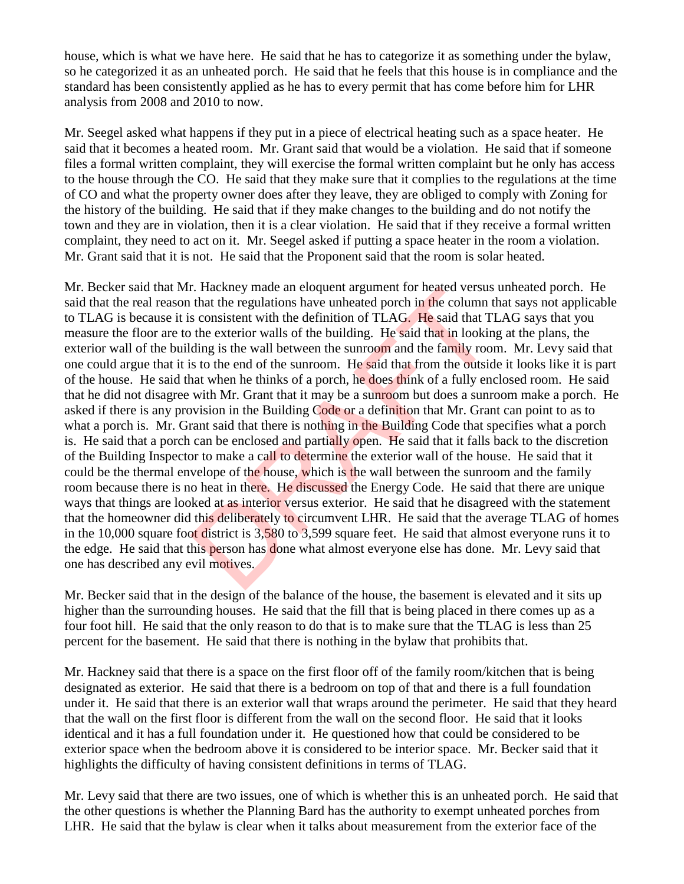house, which is what we have here. He said that he has to categorize it as something under the bylaw, so he categorized it as an unheated porch. He said that he feels that this house is in compliance and the standard has been consistently applied as he has to every permit that has come before him for LHR analysis from 2008 and 2010 to now.

Mr. Seegel asked what happens if they put in a piece of electrical heating such as a space heater. He said that it becomes a heated room. Mr. Grant said that would be a violation. He said that if someone files a formal written complaint, they will exercise the formal written complaint but he only has access to the house through the CO. He said that they make sure that it complies to the regulations at the time of CO and what the property owner does after they leave, they are obliged to comply with Zoning for the history of the building. He said that if they make changes to the building and do not notify the town and they are in violation, then it is a clear violation. He said that if they receive a formal written complaint, they need to act on it. Mr. Seegel asked if putting a space heater in the room a violation. Mr. Grant said that it is not. He said that the Proponent said that the room is solar heated.

Mr. Becker said that Mr. Hackney made an eloquent argument for heated versus unheated porch. He said that the real reason that the regulations have unheated porch in the column that says not applicable to TLAG is because it is consistent with the definition of TLAG. He said that TLAG says that you measure the floor are to the exterior walls of the building. He said that in looking at the plans, the exterior wall of the building is the wall between the sunroom and the family room. Mr. Levy said that one could argue that it is to the end of the sunroom. He said that from the outside it looks like it is part of the house. He said that when he thinks of a porch, he does think of a fully enclosed room. He said that he did not disagree with Mr. Grant that it may be a sunroom but does a sunroom make a porch. He asked if there is any provision in the Building Code or a definition that Mr. Grant can point to as to what a porch is. Mr. Grant said that there is nothing in the Building Code that specifies what a porch is. He said that a porch can be enclosed and partially open. He said that it falls back to the discretion of the Building Inspector to make a call to determine the exterior wall of the house. He said that it could be the thermal envelope of the house, which is the wall between the sunroom and the family room because there is no heat in there. He discussed the Energy Code. He said that there are unique ways that things are looked at as interior versus exterior. He said that he disagreed with the statement that the homeowner did this deliberately to circumvent LHR. He said that the average TLAG of homes in the 10,000 square foot district is 3,580 to 3,599 square feet. He said that almost everyone runs it to the edge. He said that this person has done what almost everyone else has done. Mr. Levy said that one has described any evil motives. r. Hackney made an eloquent argument for neated versus<br>that the regulations have unheated porch in the column t<br>s consistent with the definition of TLAG. He said that T<br>die exterior walls of the building. He said that in l

Mr. Becker said that in the design of the balance of the house, the basement is elevated and it sits up higher than the surrounding houses. He said that the fill that is being placed in there comes up as a four foot hill. He said that the only reason to do that is to make sure that the TLAG is less than 25 percent for the basement. He said that there is nothing in the bylaw that prohibits that.

Mr. Hackney said that there is a space on the first floor off of the family room/kitchen that is being designated as exterior. He said that there is a bedroom on top of that and there is a full foundation under it. He said that there is an exterior wall that wraps around the perimeter. He said that they heard that the wall on the first floor is different from the wall on the second floor. He said that it looks identical and it has a full foundation under it. He questioned how that could be considered to be exterior space when the bedroom above it is considered to be interior space. Mr. Becker said that it highlights the difficulty of having consistent definitions in terms of TLAG.

Mr. Levy said that there are two issues, one of which is whether this is an unheated porch. He said that the other questions is whether the Planning Bard has the authority to exempt unheated porches from LHR. He said that the bylaw is clear when it talks about measurement from the exterior face of the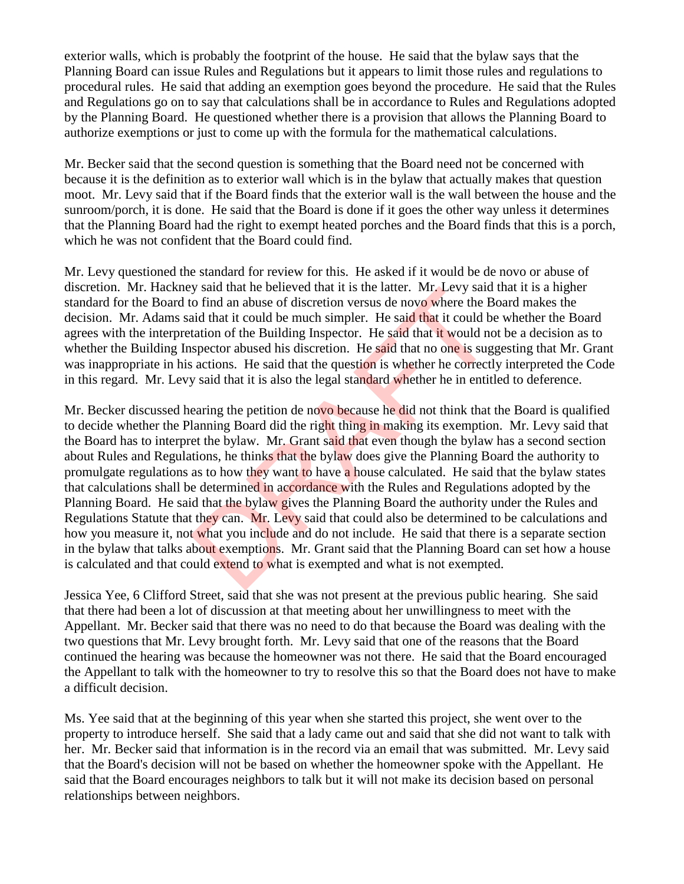exterior walls, which is probably the footprint of the house. He said that the bylaw says that the Planning Board can issue Rules and Regulations but it appears to limit those rules and regulations to procedural rules. He said that adding an exemption goes beyond the procedure. He said that the Rules and Regulations go on to say that calculations shall be in accordance to Rules and Regulations adopted by the Planning Board. He questioned whether there is a provision that allows the Planning Board to authorize exemptions or just to come up with the formula for the mathematical calculations.

Mr. Becker said that the second question is something that the Board need not be concerned with because it is the definition as to exterior wall which is in the bylaw that actually makes that question moot. Mr. Levy said that if the Board finds that the exterior wall is the wall between the house and the sunroom/porch, it is done. He said that the Board is done if it goes the other way unless it determines that the Planning Board had the right to exempt heated porches and the Board finds that this is a porch, which he was not confident that the Board could find.

Mr. Levy questioned the standard for review for this. He asked if it would be de novo or abuse of discretion. Mr. Hackney said that he believed that it is the latter. Mr. Levy said that it is a higher standard for the Board to find an abuse of discretion versus de novo where the Board makes the decision. Mr. Adams said that it could be much simpler. He said that it could be whether the Board agrees with the interpretation of the Building Inspector. He said that it would not be a decision as to whether the Building Inspector abused his discretion. He said that no one is suggesting that Mr. Grant was inappropriate in his actions. He said that the question is whether he correctly interpreted the Code in this regard. Mr. Levy said that it is also the legal standard whether he in entitled to deference.

Mr. Becker discussed hearing the petition de novo because he did not think that the Board is qualified to decide whether the Planning Board did the right thing in making its exemption. Mr. Levy said that the Board has to interpret the bylaw. Mr. Grant said that even though the bylaw has a second section about Rules and Regulations, he thinks that the bylaw does give the Planning Board the authority to promulgate regulations as to how they want to have a house calculated. He said that the bylaw states that calculations shall be determined in accordance with the Rules and Regulations adopted by the Planning Board. He said that the bylaw gives the Planning Board the authority under the Rules and Regulations Statute that they can. Mr. Levy said that could also be determined to be calculations and how you measure it, not what you include and do not include. He said that there is a separate section in the bylaw that talks about exemptions. Mr. Grant said that the Planning Board can set how a house is calculated and that could extend to what is exempted and what is not exempted. y stati that the beneved that it is the latter. Mr. Levy station of find an abuse of discretion versus de novo where the B aid that it could be much simpler. He said that it could be attion of the Building Inspector. He sa

Jessica Yee, 6 Clifford Street, said that she was not present at the previous public hearing. She said that there had been a lot of discussion at that meeting about her unwillingness to meet with the Appellant. Mr. Becker said that there was no need to do that because the Board was dealing with the two questions that Mr. Levy brought forth. Mr. Levy said that one of the reasons that the Board continued the hearing was because the homeowner was not there. He said that the Board encouraged the Appellant to talk with the homeowner to try to resolve this so that the Board does not have to make a difficult decision.

Ms. Yee said that at the beginning of this year when she started this project, she went over to the property to introduce herself. She said that a lady came out and said that she did not want to talk with her. Mr. Becker said that information is in the record via an email that was submitted. Mr. Levy said that the Board's decision will not be based on whether the homeowner spoke with the Appellant. He said that the Board encourages neighbors to talk but it will not make its decision based on personal relationships between neighbors.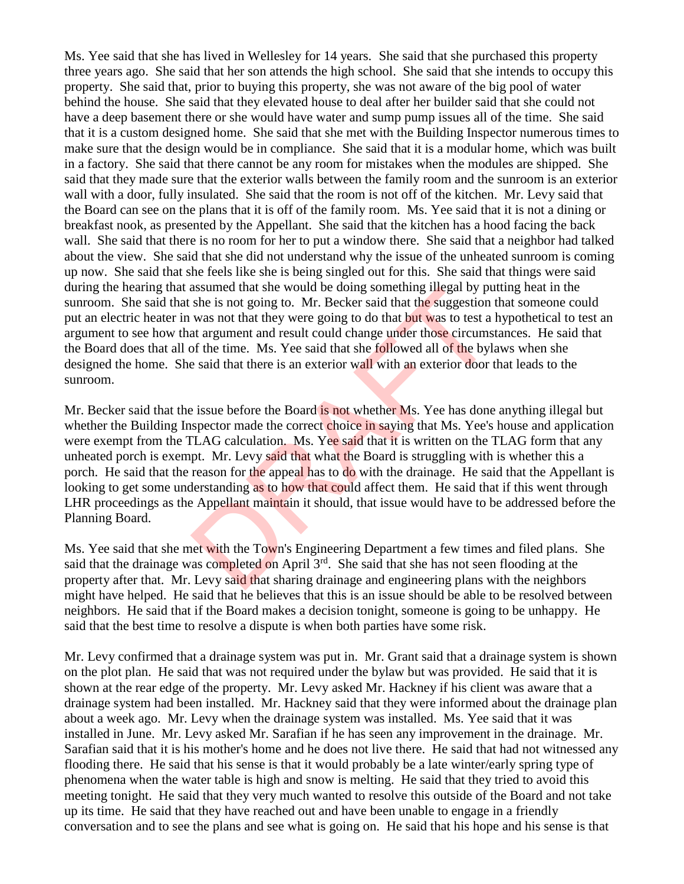Ms. Yee said that she has lived in Wellesley for 14 years. She said that she purchased this property three years ago. She said that her son attends the high school. She said that she intends to occupy this property. She said that, prior to buying this property, she was not aware of the big pool of water behind the house. She said that they elevated house to deal after her builder said that she could not have a deep basement there or she would have water and sump pump issues all of the time. She said that it is a custom designed home. She said that she met with the Building Inspector numerous times to make sure that the design would be in compliance. She said that it is a modular home, which was built in a factory. She said that there cannot be any room for mistakes when the modules are shipped. She said that they made sure that the exterior walls between the family room and the sunroom is an exterior wall with a door, fully insulated. She said that the room is not off of the kitchen. Mr. Levy said that the Board can see on the plans that it is off of the family room. Ms. Yee said that it is not a dining or breakfast nook, as presented by the Appellant. She said that the kitchen has a hood facing the back wall. She said that there is no room for her to put a window there. She said that a neighbor had talked about the view. She said that she did not understand why the issue of the unheated sunroom is coming up now. She said that she feels like she is being singled out for this. She said that things were said during the hearing that assumed that she would be doing something illegal by putting heat in the sunroom. She said that she is not going to. Mr. Becker said that the suggestion that someone could put an electric heater in was not that they were going to do that but was to test a hypothetical to test an argument to see how that argument and result could change under those circumstances. He said that the Board does that all of the time. Ms. Yee said that she followed all of the bylaws when she designed the home. She said that there is an exterior wall with an exterior door that leads to the sunroom.

Mr. Becker said that the issue before the Board is not whether Ms. Yee has done anything illegal but whether the Building Inspector made the correct choice in saying that Ms. Yee's house and application were exempt from the TLAG calculation. Ms. Yee said that it is written on the TLAG form that any unheated porch is exempt. Mr. Levy said that what the Board is struggling with is whether this a porch. He said that the reason for the appeal has to do with the drainage. He said that the Appellant is looking to get some understanding as to how that could affect them. He said that if this went through LHR proceedings as the Appellant maintain it should, that issue would have to be addressed before the Planning Board. assumed that she would be doing something inegal by pu<br>she is not going to. Mr. Becker said that the suggestion<br>was not that they were going to do that but was to test a<br>at argument and result could change under those cir

Ms. Yee said that she met with the Town's Engineering Department a few times and filed plans. She said that the drainage was completed on April 3<sup>rd</sup>. She said that she has not seen flooding at the property after that. Mr. Levy said that sharing drainage and engineering plans with the neighbors might have helped. He said that he believes that this is an issue should be able to be resolved between neighbors. He said that if the Board makes a decision tonight, someone is going to be unhappy. He said that the best time to resolve a dispute is when both parties have some risk.

Mr. Levy confirmed that a drainage system was put in. Mr. Grant said that a drainage system is shown on the plot plan. He said that was not required under the bylaw but was provided. He said that it is shown at the rear edge of the property. Mr. Levy asked Mr. Hackney if his client was aware that a drainage system had been installed. Mr. Hackney said that they were informed about the drainage plan about a week ago. Mr. Levy when the drainage system was installed. Ms. Yee said that it was installed in June. Mr. Levy asked Mr. Sarafian if he has seen any improvement in the drainage. Mr. Sarafian said that it is his mother's home and he does not live there. He said that had not witnessed any flooding there. He said that his sense is that it would probably be a late winter/early spring type of phenomena when the water table is high and snow is melting. He said that they tried to avoid this meeting tonight. He said that they very much wanted to resolve this outside of the Board and not take up its time. He said that they have reached out and have been unable to engage in a friendly conversation and to see the plans and see what is going on. He said that his hope and his sense is that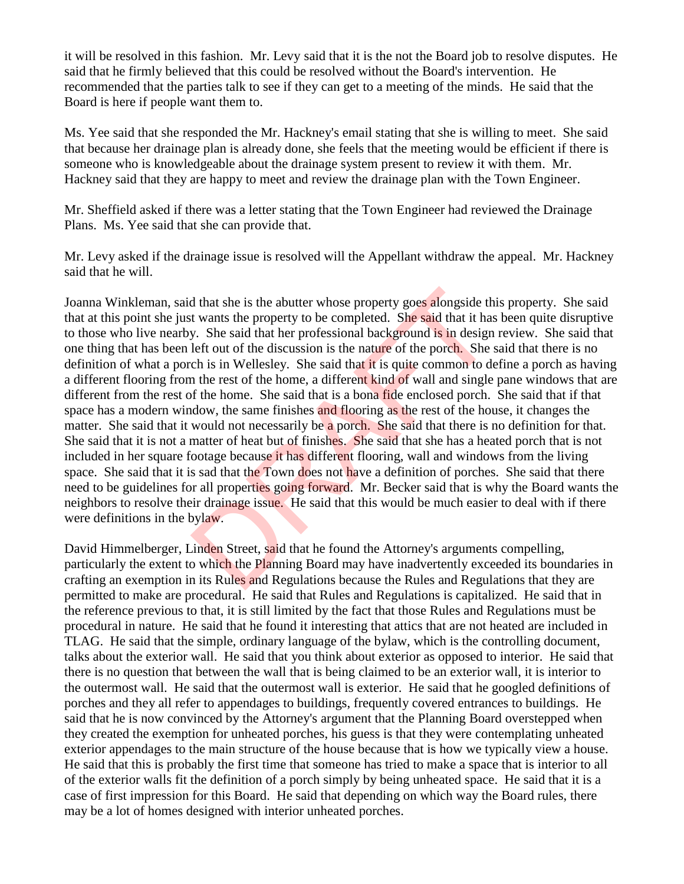it will be resolved in this fashion. Mr. Levy said that it is the not the Board job to resolve disputes. He said that he firmly believed that this could be resolved without the Board's intervention. He recommended that the parties talk to see if they can get to a meeting of the minds. He said that the Board is here if people want them to.

Ms. Yee said that she responded the Mr. Hackney's email stating that she is willing to meet. She said that because her drainage plan is already done, she feels that the meeting would be efficient if there is someone who is knowledgeable about the drainage system present to review it with them. Mr. Hackney said that they are happy to meet and review the drainage plan with the Town Engineer.

Mr. Sheffield asked if there was a letter stating that the Town Engineer had reviewed the Drainage Plans. Ms. Yee said that she can provide that.

Mr. Levy asked if the drainage issue is resolved will the Appellant withdraw the appeal. Mr. Hackney said that he will.

Joanna Winkleman, said that she is the abutter whose property goes alongside this property. She said that at this point she just wants the property to be completed. She said that it has been quite disruptive to those who live nearby. She said that her professional background is in design review. She said that one thing that has been left out of the discussion is the nature of the porch. She said that there is no definition of what a porch is in Wellesley. She said that it is quite common to define a porch as having a different flooring from the rest of the home, a different kind of wall and single pane windows that are different from the rest of the home. She said that is a bona fide enclosed porch. She said that if that space has a modern window, the same finishes and flooring as the rest of the house, it changes the matter. She said that it would not necessarily be a porch. She said that there is no definition for that. She said that it is not a matter of heat but of finishes. She said that she has a heated porch that is not included in her square footage because it has different flooring, wall and windows from the living space. She said that it is sad that the Town does not have a definition of porches. She said that there need to be guidelines for all properties going forward. Mr. Becker said that is why the Board wants the neighbors to resolve their drainage issue. He said that this would be much easier to deal with if there were definitions in the bylaw. d that she is the abutter whose property goes alongside the twants the property to be completed. She said that it has y. She said that her professional background is in design left out of the discussion is the nature of th

David Himmelberger, Linden Street, said that he found the Attorney's arguments compelling, particularly the extent to which the Planning Board may have inadvertently exceeded its boundaries in crafting an exemption in its Rules and Regulations because the Rules and Regulations that they are permitted to make are procedural. He said that Rules and Regulations is capitalized. He said that in the reference previous to that, it is still limited by the fact that those Rules and Regulations must be procedural in nature. He said that he found it interesting that attics that are not heated are included in TLAG. He said that the simple, ordinary language of the bylaw, which is the controlling document, talks about the exterior wall. He said that you think about exterior as opposed to interior. He said that there is no question that between the wall that is being claimed to be an exterior wall, it is interior to the outermost wall. He said that the outermost wall is exterior. He said that he googled definitions of porches and they all refer to appendages to buildings, frequently covered entrances to buildings. He said that he is now convinced by the Attorney's argument that the Planning Board overstepped when they created the exemption for unheated porches, his guess is that they were contemplating unheated exterior appendages to the main structure of the house because that is how we typically view a house. He said that this is probably the first time that someone has tried to make a space that is interior to all of the exterior walls fit the definition of a porch simply by being unheated space. He said that it is a case of first impression for this Board. He said that depending on which way the Board rules, there may be a lot of homes designed with interior unheated porches.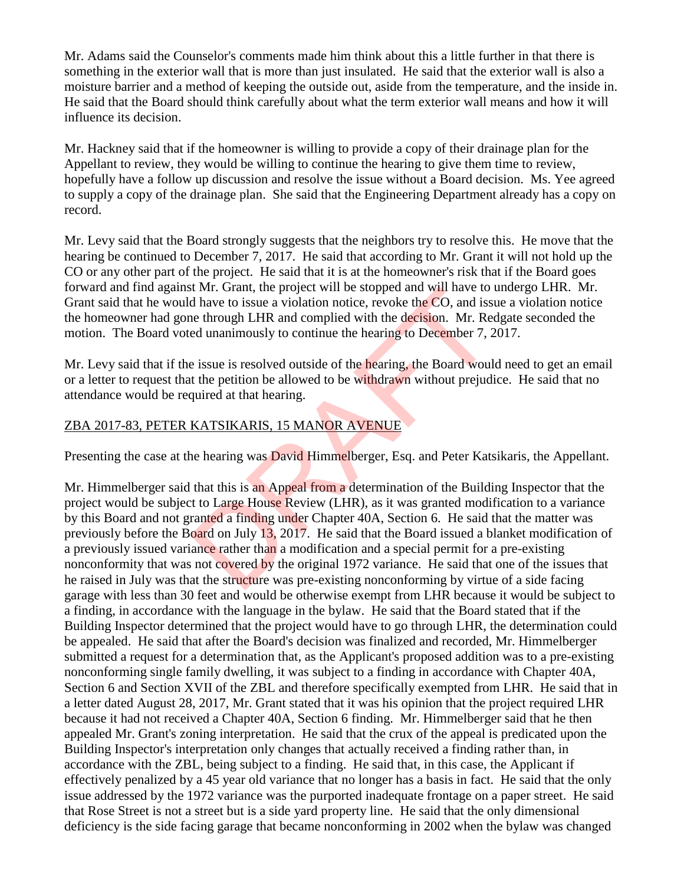Mr. Adams said the Counselor's comments made him think about this a little further in that there is something in the exterior wall that is more than just insulated. He said that the exterior wall is also a moisture barrier and a method of keeping the outside out, aside from the temperature, and the inside in. He said that the Board should think carefully about what the term exterior wall means and how it will influence its decision.

Mr. Hackney said that if the homeowner is willing to provide a copy of their drainage plan for the Appellant to review, they would be willing to continue the hearing to give them time to review, hopefully have a follow up discussion and resolve the issue without a Board decision. Ms. Yee agreed to supply a copy of the drainage plan. She said that the Engineering Department already has a copy on record.

Mr. Levy said that the Board strongly suggests that the neighbors try to resolve this. He move that the hearing be continued to December 7, 2017. He said that according to Mr. Grant it will not hold up the CO or any other part of the project. He said that it is at the homeowner's risk that if the Board goes forward and find against Mr. Grant, the project will be stopped and will have to undergo LHR. Mr. Grant said that he would have to issue a violation notice, revoke the CO, and issue a violation notice the homeowner had gone through LHR and complied with the decision. Mr. Redgate seconded the motion. The Board voted unanimously to continue the hearing to December 7, 2017.

Mr. Levy said that if the issue is resolved outside of the hearing, the Board would need to get an email or a letter to request that the petition be allowed to be withdrawn without prejudice. He said that no attendance would be required at that hearing.

## ZBA 2017-83, PETER KATSIKARIS, 15 MANOR AVENUE

Presenting the case at the hearing was **David Himmelberger**, Esq. and Peter Katsikaris, the Appellant.

Mr. Himmelberger said that this is an Appeal from a determination of the Building Inspector that the project would be subject to Large House Review (LHR), as it was granted modification to a variance by this Board and not granted a finding under Chapter 40A, Section 6. He said that the matter was previously before the Board on July 13, 2017. He said that the Board issued a blanket modification of a previously issued variance rather than a modification and a special permit for a pre-existing nonconformity that was not covered by the original 1972 variance. He said that one of the issues that he raised in July was that the structure was pre-existing nonconforming by virtue of a side facing garage with less than 30 feet and would be otherwise exempt from LHR because it would be subject to a finding, in accordance with the language in the bylaw. He said that the Board stated that if the Building Inspector determined that the project would have to go through LHR, the determination could be appealed. He said that after the Board's decision was finalized and recorded, Mr. Himmelberger submitted a request for a determination that, as the Applicant's proposed addition was to a pre-existing nonconforming single family dwelling, it was subject to a finding in accordance with Chapter 40A, Section 6 and Section XVII of the ZBL and therefore specifically exempted from LHR. He said that in a letter dated August 28, 2017, Mr. Grant stated that it was his opinion that the project required LHR because it had not received a Chapter 40A, Section 6 finding. Mr. Himmelberger said that he then appealed Mr. Grant's zoning interpretation. He said that the crux of the appeal is predicated upon the Building Inspector's interpretation only changes that actually received a finding rather than, in accordance with the ZBL, being subject to a finding. He said that, in this case, the Applicant if effectively penalized by a 45 year old variance that no longer has a basis in fact. He said that the only issue addressed by the 1972 variance was the purported inadequate frontage on a paper street. He said that Rose Street is not a street but is a side yard property line. He said that the only dimensional deficiency is the side facing garage that became nonconforming in 2002 when the bylaw was changed it Mr. Grant, the project will be stopped and will nave to<br>that the to issue a violation notice, revoke the CO, and issue<br>through LHR and complied with the decision. Mr. Ree<br>ed unanimously to continue the hearing to Decemb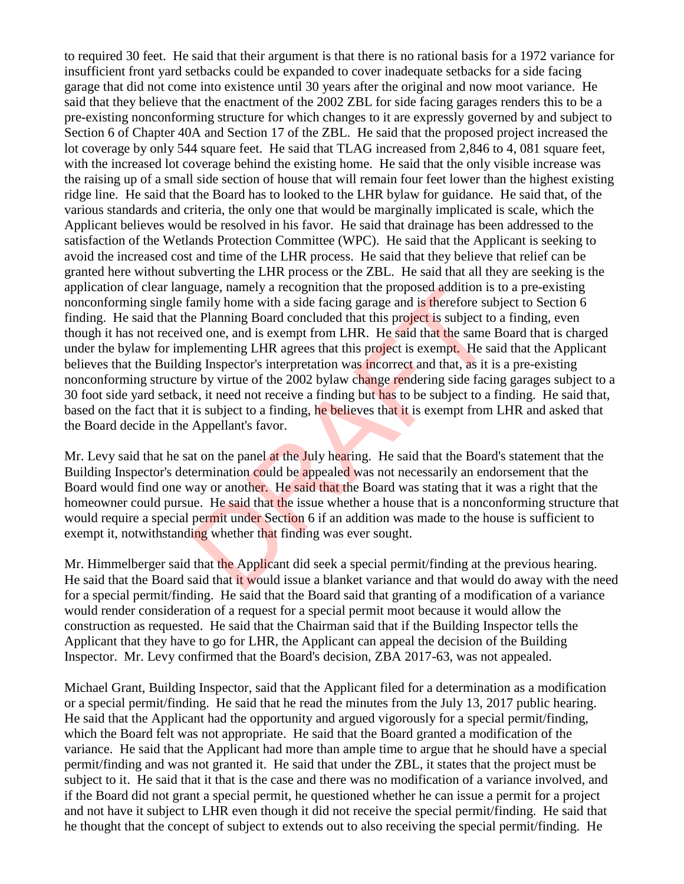to required 30 feet. He said that their argument is that there is no rational basis for a 1972 variance for insufficient front yard setbacks could be expanded to cover inadequate setbacks for a side facing garage that did not come into existence until 30 years after the original and now moot variance. He said that they believe that the enactment of the 2002 ZBL for side facing garages renders this to be a pre-existing nonconforming structure for which changes to it are expressly governed by and subject to Section 6 of Chapter 40A and Section 17 of the ZBL. He said that the proposed project increased the lot coverage by only 544 square feet. He said that TLAG increased from 2,846 to 4, 081 square feet, with the increased lot coverage behind the existing home. He said that the only visible increase was the raising up of a small side section of house that will remain four feet lower than the highest existing ridge line. He said that the Board has to looked to the LHR bylaw for guidance. He said that, of the various standards and criteria, the only one that would be marginally implicated is scale, which the Applicant believes would be resolved in his favor. He said that drainage has been addressed to the satisfaction of the Wetlands Protection Committee (WPC). He said that the Applicant is seeking to avoid the increased cost and time of the LHR process. He said that they believe that relief can be granted here without subverting the LHR process or the ZBL. He said that all they are seeking is the application of clear language, namely a recognition that the proposed addition is to a pre-existing nonconforming single family home with a side facing garage and is therefore subject to Section 6 finding. He said that the Planning Board concluded that this project is subject to a finding, even though it has not received one, and is exempt from LHR. He said that the same Board that is charged under the bylaw for implementing LHR agrees that this project is exempt. He said that the Applicant believes that the Building Inspector's interpretation was incorrect and that, as it is a pre-existing nonconforming structure by virtue of the 2002 bylaw change rendering side facing garages subject to a 30 foot side yard setback, it need not receive a finding but has to be subject to a finding. He said that, based on the fact that it is subject to a finding, he believes that it is exempt from LHR and asked that the Board decide in the Appellant's favor. guage, namely a recognition that the proposed addition is<br>amily home with a side facing garage and is therefore sule<br>Planning Board concluded that this project is subject to<br>ed one, and is exempt from LHR. He said that the

Mr. Levy said that he sat on the panel at the July hearing. He said that the Board's statement that the Building Inspector's determination could be appealed was not necessarily an endorsement that the Board would find one way or another. He said that the Board was stating that it was a right that the homeowner could pursue. He said that the issue whether a house that is a nonconforming structure that would require a special permit under Section 6 if an addition was made to the house is sufficient to exempt it, notwithstanding whether that finding was ever sought.

Mr. Himmelberger said that the Applicant did seek a special permit/finding at the previous hearing. He said that the Board said that it would issue a blanket variance and that would do away with the need for a special permit/finding. He said that the Board said that granting of a modification of a variance would render consideration of a request for a special permit moot because it would allow the construction as requested. He said that the Chairman said that if the Building Inspector tells the Applicant that they have to go for LHR, the Applicant can appeal the decision of the Building Inspector. Mr. Levy confirmed that the Board's decision, ZBA 2017-63, was not appealed.

Michael Grant, Building Inspector, said that the Applicant filed for a determination as a modification or a special permit/finding. He said that he read the minutes from the July 13, 2017 public hearing. He said that the Applicant had the opportunity and argued vigorously for a special permit/finding, which the Board felt was not appropriate. He said that the Board granted a modification of the variance. He said that the Applicant had more than ample time to argue that he should have a special permit/finding and was not granted it. He said that under the ZBL, it states that the project must be subject to it. He said that it that is the case and there was no modification of a variance involved, and if the Board did not grant a special permit, he questioned whether he can issue a permit for a project and not have it subject to LHR even though it did not receive the special permit/finding. He said that he thought that the concept of subject to extends out to also receiving the special permit/finding. He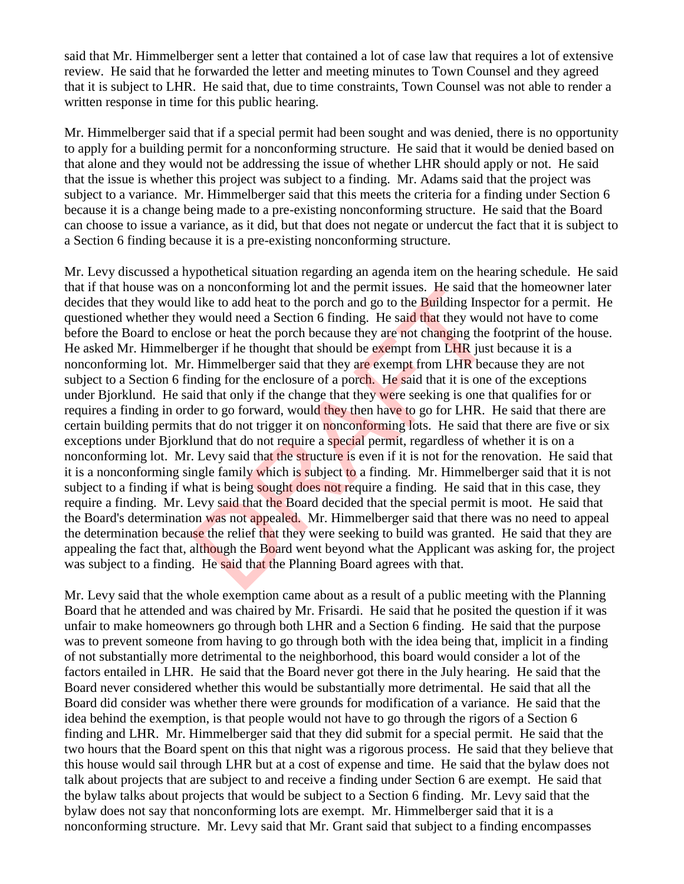said that Mr. Himmelberger sent a letter that contained a lot of case law that requires a lot of extensive review. He said that he forwarded the letter and meeting minutes to Town Counsel and they agreed that it is subject to LHR. He said that, due to time constraints, Town Counsel was not able to render a written response in time for this public hearing.

Mr. Himmelberger said that if a special permit had been sought and was denied, there is no opportunity to apply for a building permit for a nonconforming structure. He said that it would be denied based on that alone and they would not be addressing the issue of whether LHR should apply or not. He said that the issue is whether this project was subject to a finding. Mr. Adams said that the project was subject to a variance. Mr. Himmelberger said that this meets the criteria for a finding under Section 6 because it is a change being made to a pre-existing nonconforming structure. He said that the Board can choose to issue a variance, as it did, but that does not negate or undercut the fact that it is subject to a Section 6 finding because it is a pre-existing nonconforming structure.

Mr. Levy discussed a hypothetical situation regarding an agenda item on the hearing schedule. He said that if that house was on a nonconforming lot and the permit issues. He said that the homeowner later decides that they would like to add heat to the porch and go to the **Building Inspector for a permit.** He questioned whether they would need a Section 6 finding. He said that they would not have to come before the Board to enclose or heat the porch because they are not changing the footprint of the house. He asked Mr. Himmelberger if he thought that should be exempt from LHR just because it is a nonconforming lot. Mr. Himmelberger said that they are exempt from LHR because they are not subject to a Section 6 finding for the enclosure of a porch. He said that it is one of the exceptions under Bjorklund. He said that only if the change that they were seeking is one that qualifies for or requires a finding in order to go forward, would they then have to go for LHR. He said that there are certain building permits that do not trigger it on nonconforming lots. He said that there are five or six exceptions under Bjorklund that do not require a special permit, regardless of whether it is on a nonconforming lot. Mr. Levy said that the structure is even if it is not for the renovation. He said that it is a nonconforming single family which is subject to a finding. Mr. Himmelberger said that it is not subject to a finding if what is being sought does not require a finding. He said that in this case, they require a finding. Mr. Levy said that the Board decided that the special permit is moot. He said that the Board's determination was not appealed. Mr. Himmelberger said that there was no need to appeal the determination because the relief that they were seeking to build was granted. He said that they are appealing the fact that, although the Board went beyond what the Applicant was asking for, the project was subject to a finding. He said that the Planning Board agrees with that. It is to add heat to the porch and go to the Building Insp<br>like to add heat to the porch and go to the Building Insp<br>y would need a Section 6 finding. He said that they woul<br>lose or heat the porch because they are not chan

Mr. Levy said that the whole exemption came about as a result of a public meeting with the Planning Board that he attended and was chaired by Mr. Frisardi. He said that he posited the question if it was unfair to make homeowners go through both LHR and a Section 6 finding. He said that the purpose was to prevent someone from having to go through both with the idea being that, implicit in a finding of not substantially more detrimental to the neighborhood, this board would consider a lot of the factors entailed in LHR. He said that the Board never got there in the July hearing. He said that the Board never considered whether this would be substantially more detrimental. He said that all the Board did consider was whether there were grounds for modification of a variance. He said that the idea behind the exemption, is that people would not have to go through the rigors of a Section 6 finding and LHR. Mr. Himmelberger said that they did submit for a special permit. He said that the two hours that the Board spent on this that night was a rigorous process. He said that they believe that this house would sail through LHR but at a cost of expense and time. He said that the bylaw does not talk about projects that are subject to and receive a finding under Section 6 are exempt. He said that the bylaw talks about projects that would be subject to a Section 6 finding. Mr. Levy said that the bylaw does not say that nonconforming lots are exempt. Mr. Himmelberger said that it is a nonconforming structure. Mr. Levy said that Mr. Grant said that subject to a finding encompasses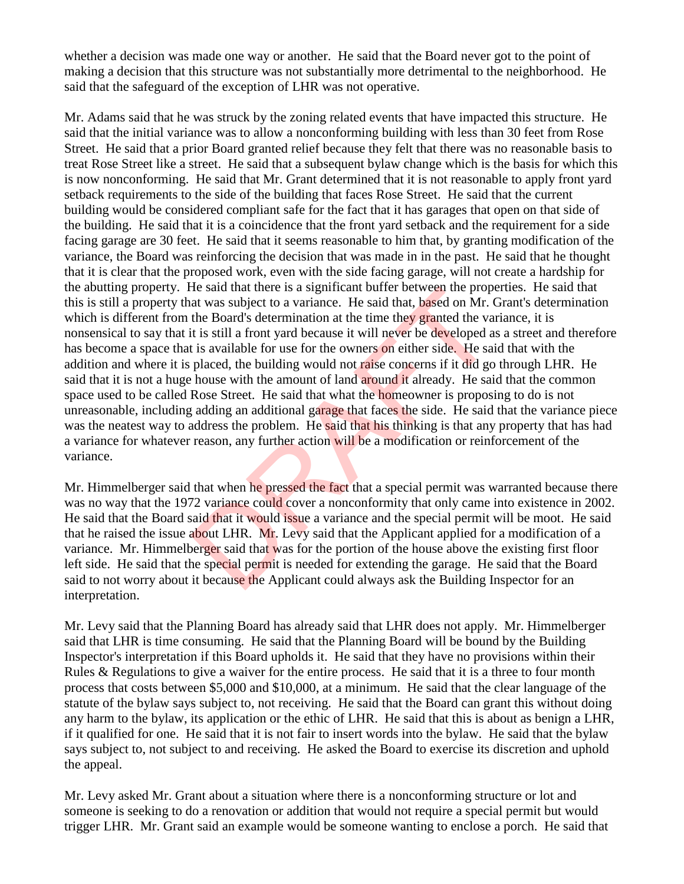whether a decision was made one way or another. He said that the Board never got to the point of making a decision that this structure was not substantially more detrimental to the neighborhood. He said that the safeguard of the exception of LHR was not operative.

Mr. Adams said that he was struck by the zoning related events that have impacted this structure. He said that the initial variance was to allow a nonconforming building with less than 30 feet from Rose Street. He said that a prior Board granted relief because they felt that there was no reasonable basis to treat Rose Street like a street. He said that a subsequent bylaw change which is the basis for which this is now nonconforming. He said that Mr. Grant determined that it is not reasonable to apply front yard setback requirements to the side of the building that faces Rose Street. He said that the current building would be considered compliant safe for the fact that it has garages that open on that side of the building. He said that it is a coincidence that the front yard setback and the requirement for a side facing garage are 30 feet. He said that it seems reasonable to him that, by granting modification of the variance, the Board was reinforcing the decision that was made in in the past. He said that he thought that it is clear that the proposed work, even with the side facing garage, will not create a hardship for the abutting property. He said that there is a significant buffer between the properties. He said that this is still a property that was subject to a variance. He said that, based on Mr. Grant's determination which is different from the Board's determination at the time they granted the variance, it is nonsensical to say that it is still a front yard because it will never be developed as a street and therefore has become a space that is available for use for the owners on either side. He said that with the addition and where it is placed, the building would not raise concerns if it did go through LHR. He said that it is not a huge house with the amount of land around it already. He said that the common space used to be called Rose Street. He said that what the homeowner is proposing to do is not unreasonable, including adding an additional garage that faces the side. He said that the variance piece was the neatest way to address the problem. He said that his thinking is that any property that has had a variance for whatever reason, any further action will be a modification or reinforcement of the variance. The said that there is a sigminizant builter between the prop<br>at was subject to a variance. He said that, based on Mr. the Board's determination at the time they granted the va<br>it is still a front yard because it will neve

Mr. Himmelberger said that when he pressed the fact that a special permit was warranted because there was no way that the 1972 variance could cover a nonconformity that only came into existence in 2002. He said that the Board said that it would issue a variance and the special permit will be moot. He said that he raised the issue about LHR. Mr. Levy said that the Applicant applied for a modification of a variance. Mr. Himmelberger said that was for the portion of the house above the existing first floor left side. He said that the special permit is needed for extending the garage. He said that the Board said to not worry about it because the Applicant could always ask the Building Inspector for an interpretation.

Mr. Levy said that the Planning Board has already said that LHR does not apply. Mr. Himmelberger said that LHR is time consuming. He said that the Planning Board will be bound by the Building Inspector's interpretation if this Board upholds it. He said that they have no provisions within their Rules & Regulations to give a waiver for the entire process. He said that it is a three to four month process that costs between \$5,000 and \$10,000, at a minimum. He said that the clear language of the statute of the bylaw says subject to, not receiving. He said that the Board can grant this without doing any harm to the bylaw, its application or the ethic of LHR. He said that this is about as benign a LHR, if it qualified for one. He said that it is not fair to insert words into the bylaw. He said that the bylaw says subject to, not subject to and receiving. He asked the Board to exercise its discretion and uphold the appeal.

Mr. Levy asked Mr. Grant about a situation where there is a nonconforming structure or lot and someone is seeking to do a renovation or addition that would not require a special permit but would trigger LHR. Mr. Grant said an example would be someone wanting to enclose a porch. He said that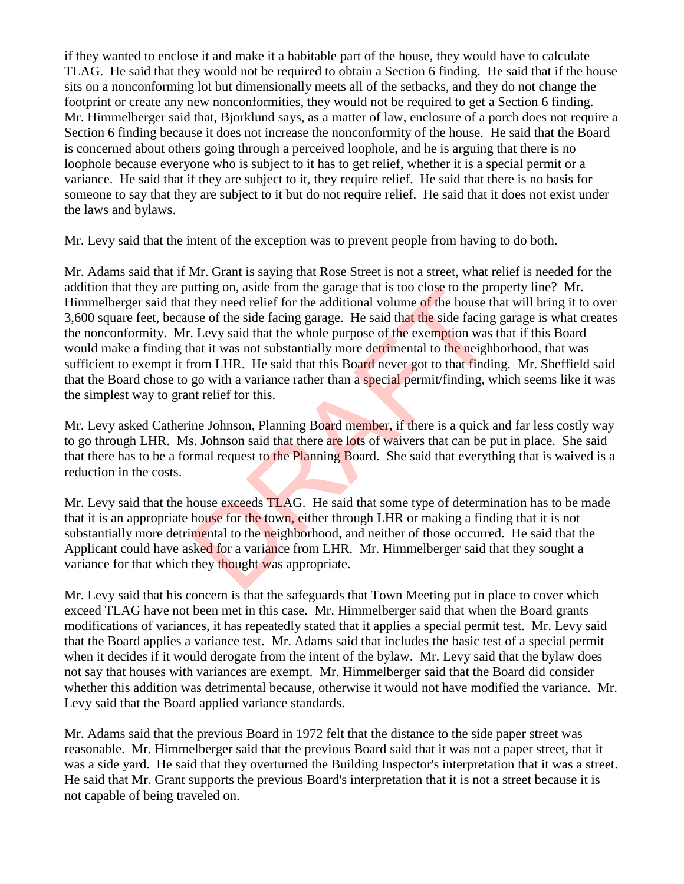if they wanted to enclose it and make it a habitable part of the house, they would have to calculate TLAG. He said that they would not be required to obtain a Section 6 finding. He said that if the house sits on a nonconforming lot but dimensionally meets all of the setbacks, and they do not change the footprint or create any new nonconformities, they would not be required to get a Section 6 finding. Mr. Himmelberger said that, Bjorklund says, as a matter of law, enclosure of a porch does not require a Section 6 finding because it does not increase the nonconformity of the house. He said that the Board is concerned about others going through a perceived loophole, and he is arguing that there is no loophole because everyone who is subject to it has to get relief, whether it is a special permit or a variance. He said that if they are subject to it, they require relief. He said that there is no basis for someone to say that they are subject to it but do not require relief. He said that it does not exist under the laws and bylaws.

Mr. Levy said that the intent of the exception was to prevent people from having to do both.

Mr. Adams said that if Mr. Grant is saying that Rose Street is not a street, what relief is needed for the addition that they are putting on, aside from the garage that is too close to the property line? Mr. Himmelberger said that they need relief for the additional volume of the house that will bring it to over 3,600 square feet, because of the side facing garage. He said that the side facing garage is what creates the nonconformity. Mr. Levy said that the whole purpose of the exemption was that if this Board would make a finding that it was not substantially more detrimental to the neighborhood, that was sufficient to exempt it from LHR. He said that this Board never got to that finding. Mr. Sheffield said that the Board chose to go with a variance rather than a special permit/finding, which seems like it was the simplest way to grant relief for this. iting on, aside from the garage that is too close to the pro-<br>they need relief for the additional volume of the house the<br>se of the side facing garage. He said that the side facing<br>Levy said that the whole purpose of the e

Mr. Levy asked Catherine Johnson, Planning Board member, if there is a quick and far less costly way to go through LHR. Ms. Johnson said that there are lots of waivers that can be put in place. She said that there has to be a formal request to the Planning Board. She said that everything that is waived is a reduction in the costs.

Mr. Levy said that the house exceeds TLAG. He said that some type of determination has to be made that it is an appropriate house for the town, either through LHR or making a finding that it is not substantially more detrimental to the neighborhood, and neither of those occurred. He said that the Applicant could have asked for a variance from LHR. Mr. Himmelberger said that they sought a variance for that which they thought was appropriate.

Mr. Levy said that his concern is that the safeguards that Town Meeting put in place to cover which exceed TLAG have not been met in this case. Mr. Himmelberger said that when the Board grants modifications of variances, it has repeatedly stated that it applies a special permit test. Mr. Levy said that the Board applies a variance test. Mr. Adams said that includes the basic test of a special permit when it decides if it would derogate from the intent of the bylaw. Mr. Levy said that the bylaw does not say that houses with variances are exempt. Mr. Himmelberger said that the Board did consider whether this addition was detrimental because, otherwise it would not have modified the variance. Mr. Levy said that the Board applied variance standards.

Mr. Adams said that the previous Board in 1972 felt that the distance to the side paper street was reasonable. Mr. Himmelberger said that the previous Board said that it was not a paper street, that it was a side yard. He said that they overturned the Building Inspector's interpretation that it was a street. He said that Mr. Grant supports the previous Board's interpretation that it is not a street because it is not capable of being traveled on.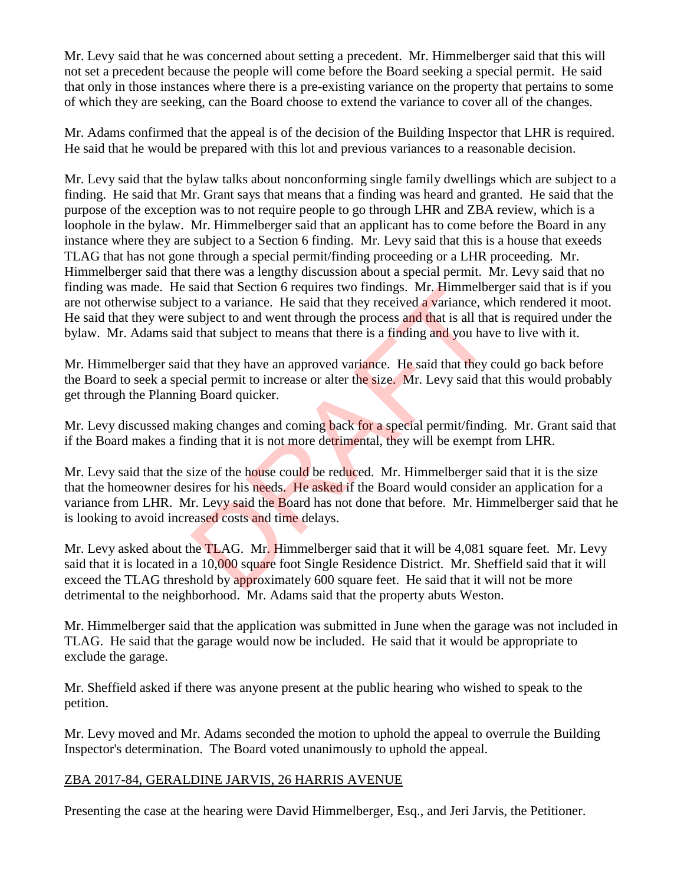Mr. Levy said that he was concerned about setting a precedent. Mr. Himmelberger said that this will not set a precedent because the people will come before the Board seeking a special permit. He said that only in those instances where there is a pre-existing variance on the property that pertains to some of which they are seeking, can the Board choose to extend the variance to cover all of the changes.

Mr. Adams confirmed that the appeal is of the decision of the Building Inspector that LHR is required. He said that he would be prepared with this lot and previous variances to a reasonable decision.

Mr. Levy said that the bylaw talks about nonconforming single family dwellings which are subject to a finding. He said that Mr. Grant says that means that a finding was heard and granted. He said that the purpose of the exception was to not require people to go through LHR and ZBA review, which is a loophole in the bylaw. Mr. Himmelberger said that an applicant has to come before the Board in any instance where they are subject to a Section 6 finding. Mr. Levy said that this is a house that exeeds TLAG that has not gone through a special permit/finding proceeding or a LHR proceeding. Mr. Himmelberger said that there was a lengthy discussion about a special permit. Mr. Levy said that no finding was made. He said that Section 6 requires two findings. Mr. Himmelberger said that is if you are not otherwise subject to a variance. He said that they received a variance, which rendered it moot. He said that they were subject to and went through the process and that is all that is required under the bylaw. Mr. Adams said that subject to means that there is a finding and you have to live with it.

Mr. Himmelberger said that they have an approved variance. He said that they could go back before the Board to seek a special permit to increase or alter the size. Mr. Levy said that this would probably get through the Planning Board quicker.

Mr. Levy discussed making changes and coming back for a special permit/finding. Mr. Grant said that if the Board makes a finding that it is not more detrimental, they will be exempt from LHR.

Mr. Levy said that the size of the house could be reduced. Mr. Himmelberger said that it is the size that the homeowner desires for his needs. He asked if the Board would consider an application for a variance from LHR. Mr. Levy said the Board has not done that before. Mr. Himmelberger said that he is looking to avoid increased costs and time delays. Sala that Section 6 requires two intents. Mr. Himmelber<br>t to a variance. He said that they received a variance, with<br>subject to and went through the process and that is all that<br>that subject to means that there is a findin

Mr. Levy asked about the TLAG. Mr. Himmelberger said that it will be 4,081 square feet. Mr. Levy said that it is located in a 10,000 square foot Single Residence District. Mr. Sheffield said that it will exceed the TLAG threshold by approximately 600 square feet. He said that it will not be more detrimental to the neighborhood. Mr. Adams said that the property abuts Weston.

Mr. Himmelberger said that the application was submitted in June when the garage was not included in TLAG. He said that the garage would now be included. He said that it would be appropriate to exclude the garage.

Mr. Sheffield asked if there was anyone present at the public hearing who wished to speak to the petition.

Mr. Levy moved and Mr. Adams seconded the motion to uphold the appeal to overrule the Building Inspector's determination. The Board voted unanimously to uphold the appeal.

### ZBA 2017-84, GERALDINE JARVIS, 26 HARRIS AVENUE

Presenting the case at the hearing were David Himmelberger, Esq., and Jeri Jarvis, the Petitioner.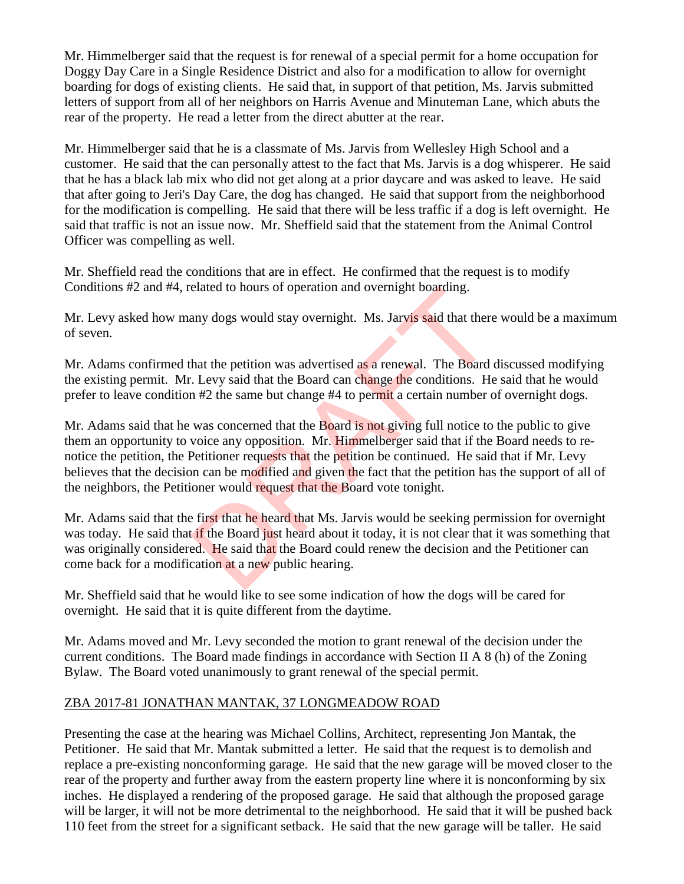Mr. Himmelberger said that the request is for renewal of a special permit for a home occupation for Doggy Day Care in a Single Residence District and also for a modification to allow for overnight boarding for dogs of existing clients. He said that, in support of that petition, Ms. Jarvis submitted letters of support from all of her neighbors on Harris Avenue and Minuteman Lane, which abuts the rear of the property. He read a letter from the direct abutter at the rear.

Mr. Himmelberger said that he is a classmate of Ms. Jarvis from Wellesley High School and a customer. He said that the can personally attest to the fact that Ms. Jarvis is a dog whisperer. He said that he has a black lab mix who did not get along at a prior daycare and was asked to leave. He said that after going to Jeri's Day Care, the dog has changed. He said that support from the neighborhood for the modification is compelling. He said that there will be less traffic if a dog is left overnight. He said that traffic is not an issue now. Mr. Sheffield said that the statement from the Animal Control Officer was compelling as well.

Mr. Sheffield read the conditions that are in effect. He confirmed that the request is to modify Conditions #2 and #4, related to hours of operation and overnight boarding.

Mr. Levy asked how many dogs would stay overnight. Ms. Jarvis said that there would be a maximum of seven.

Mr. Adams confirmed that the petition was advertised as a renewal. The Board discussed modifying the existing permit. Mr. Levy said that the Board can change the conditions. He said that he would prefer to leave condition #2 the same but change #4 to permit a certain number of overnight dogs.

Mr. Adams said that he was concerned that the Board is not giving full notice to the public to give them an opportunity to voice any opposition. Mr. Himmelberger said that if the Board needs to renotice the petition, the Petitioner requests that the petition be continued. He said that if Mr. Levy believes that the decision can be modified and given the fact that the petition has the support of all of the neighbors, the Petitioner would request that the Board vote tonight. elated to nours of operation and overing to boarding.<br>
any dogs would stay overnight. Ms. Jarvis said that there<br>
hat the petition was advertised as a renewal. The Board<br>
1. Levy said that the Board can change the conditio

Mr. Adams said that the first that he heard that Ms. Jarvis would be seeking permission for overnight was today. He said that if the Board just heard about it today, it is not clear that it was something that was originally considered. He said that the Board could renew the decision and the Petitioner can come back for a modification at a new public hearing.

Mr. Sheffield said that he would like to see some indication of how the dogs will be cared for overnight. He said that it is quite different from the daytime.

Mr. Adams moved and Mr. Levy seconded the motion to grant renewal of the decision under the current conditions. The Board made findings in accordance with Section II A 8 (h) of the Zoning Bylaw. The Board voted unanimously to grant renewal of the special permit.

### ZBA 2017-81 JONATHAN MANTAK, 37 LONGMEADOW ROAD

Presenting the case at the hearing was Michael Collins, Architect, representing Jon Mantak, the Petitioner. He said that Mr. Mantak submitted a letter. He said that the request is to demolish and replace a pre-existing nonconforming garage. He said that the new garage will be moved closer to the rear of the property and further away from the eastern property line where it is nonconforming by six inches. He displayed a rendering of the proposed garage. He said that although the proposed garage will be larger, it will not be more detrimental to the neighborhood. He said that it will be pushed back 110 feet from the street for a significant setback. He said that the new garage will be taller. He said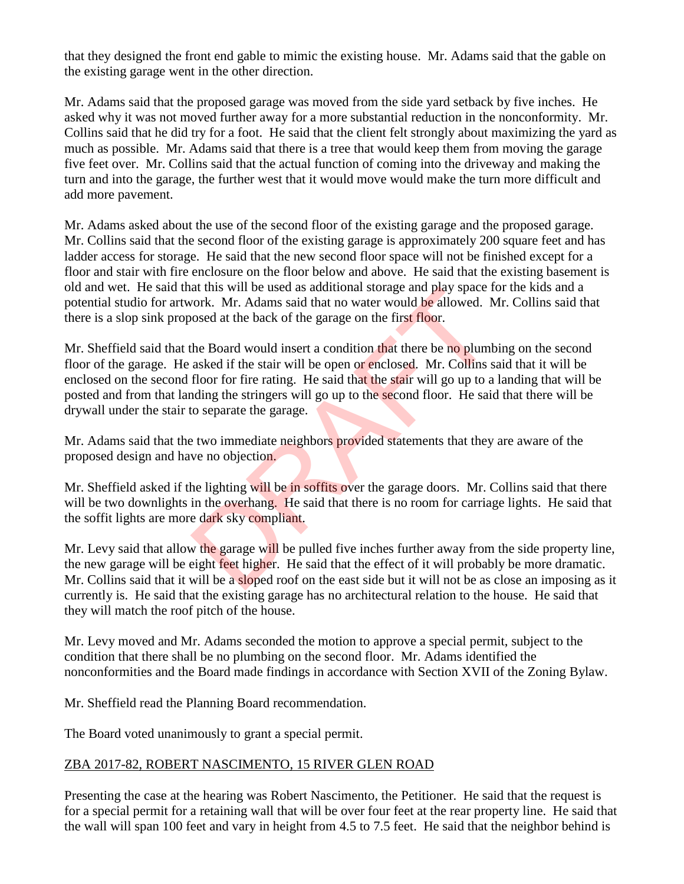that they designed the front end gable to mimic the existing house. Mr. Adams said that the gable on the existing garage went in the other direction.

Mr. Adams said that the proposed garage was moved from the side yard setback by five inches. He asked why it was not moved further away for a more substantial reduction in the nonconformity. Mr. Collins said that he did try for a foot. He said that the client felt strongly about maximizing the yard as much as possible. Mr. Adams said that there is a tree that would keep them from moving the garage five feet over. Mr. Collins said that the actual function of coming into the driveway and making the turn and into the garage, the further west that it would move would make the turn more difficult and add more pavement.

Mr. Adams asked about the use of the second floor of the existing garage and the proposed garage. Mr. Collins said that the second floor of the existing garage is approximately 200 square feet and has ladder access for storage. He said that the new second floor space will not be finished except for a floor and stair with fire enclosure on the floor below and above. He said that the existing basement is old and wet. He said that this will be used as additional storage and play space for the kids and a potential studio for artwork. Mr. Adams said that no water would be allowed. Mr. Collins said that there is a slop sink proposed at the back of the garage on the first floor.

Mr. Sheffield said that the Board would insert a condition that there be no plumbing on the second floor of the garage. He asked if the stair will be open or enclosed. Mr. Collins said that it will be enclosed on the second floor for fire rating. He said that the stair will go up to a landing that will be posted and from that landing the stringers will go up to the second floor. He said that there will be drywall under the stair to separate the garage. at this will be used as additional storage and play space I<br>vork. Mr. Adams said that no water would be allowed. Nosed at the back of the garage on the first floor.<br>the Board would insert a condition that there be no plumb

Mr. Adams said that the two immediate neighbors provided statements that they are aware of the proposed design and have no objection.

Mr. Sheffield asked if the lighting will be in soffits over the garage doors. Mr. Collins said that there will be two downlights in the overhang. He said that there is no room for carriage lights. He said that the soffit lights are more dark sky compliant.

Mr. Levy said that allow the garage will be pulled five inches further away from the side property line, the new garage will be eight feet higher. He said that the effect of it will probably be more dramatic. Mr. Collins said that it will be a sloped roof on the east side but it will not be as close an imposing as it currently is. He said that the existing garage has no architectural relation to the house. He said that they will match the roof pitch of the house.

Mr. Levy moved and Mr. Adams seconded the motion to approve a special permit, subject to the condition that there shall be no plumbing on the second floor. Mr. Adams identified the nonconformities and the Board made findings in accordance with Section XVII of the Zoning Bylaw.

Mr. Sheffield read the Planning Board recommendation.

The Board voted unanimously to grant a special permit.

### ZBA 2017-82, ROBERT NASCIMENTO, 15 RIVER GLEN ROAD

Presenting the case at the hearing was Robert Nascimento, the Petitioner. He said that the request is for a special permit for a retaining wall that will be over four feet at the rear property line. He said that the wall will span 100 feet and vary in height from 4.5 to 7.5 feet. He said that the neighbor behind is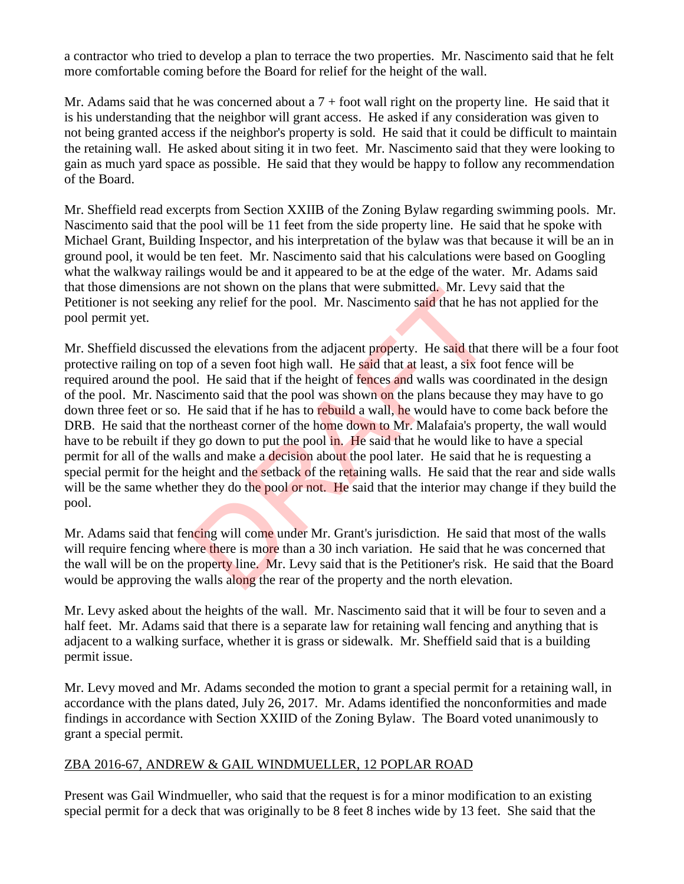a contractor who tried to develop a plan to terrace the two properties. Mr. Nascimento said that he felt more comfortable coming before the Board for relief for the height of the wall.

Mr. Adams said that he was concerned about a  $7 +$  foot wall right on the property line. He said that it is his understanding that the neighbor will grant access. He asked if any consideration was given to not being granted access if the neighbor's property is sold. He said that it could be difficult to maintain the retaining wall. He asked about siting it in two feet. Mr. Nascimento said that they were looking to gain as much yard space as possible. He said that they would be happy to follow any recommendation of the Board.

Mr. Sheffield read excerpts from Section XXIIB of the Zoning Bylaw regarding swimming pools. Mr. Nascimento said that the pool will be 11 feet from the side property line. He said that he spoke with Michael Grant, Building Inspector, and his interpretation of the bylaw was that because it will be an in ground pool, it would be ten feet. Mr. Nascimento said that his calculations were based on Googling what the walkway railings would be and it appeared to be at the edge of the water. Mr. Adams said that those dimensions are not shown on the plans that were submitted. Mr. Levy said that the Petitioner is not seeking any relief for the pool. Mr. Nascimento said that he has not applied for the pool permit yet.

Mr. Sheffield discussed the elevations from the adjacent property. He said that there will be a four foot protective railing on top of a seven foot high wall. He said that at least, a six foot fence will be required around the pool. He said that if the height of fences and walls was coordinated in the design of the pool. Mr. Nascimento said that the pool was shown on the plans because they may have to go down three feet or so. He said that if he has to rebuild a wall, he would have to come back before the DRB. He said that the northeast corner of the home down to Mr. Malafaia's property, the wall would have to be rebuilt if they go down to put the pool in. He said that he would like to have a special permit for all of the walls and make a decision about the pool later. He said that he is requesting a special permit for the height and the setback of the retaining walls. He said that the rear and side walls will be the same whether they do the pool or not. He said that the interior may change if they build the pool. re not shown on the plans that were submitted. Mr. Levy<br>
g any relief for the pool. Mr. Nascimento said that he has<br>
the elevations from the adjacent property. He said that the has<br>
of a seven foot high wall. He said that

Mr. Adams said that fencing will come under Mr. Grant's jurisdiction. He said that most of the walls will require fencing where there is more than a 30 inch variation. He said that he was concerned that the wall will be on the property line. Mr. Levy said that is the Petitioner's risk. He said that the Board would be approving the walls along the rear of the property and the north elevation.

Mr. Levy asked about the heights of the wall. Mr. Nascimento said that it will be four to seven and a half feet. Mr. Adams said that there is a separate law for retaining wall fencing and anything that is adjacent to a walking surface, whether it is grass or sidewalk. Mr. Sheffield said that is a building permit issue.

Mr. Levy moved and Mr. Adams seconded the motion to grant a special permit for a retaining wall, in accordance with the plans dated, July 26, 2017. Mr. Adams identified the nonconformities and made findings in accordance with Section XXIID of the Zoning Bylaw. The Board voted unanimously to grant a special permit.

### ZBA 2016-67, ANDREW & GAIL WINDMUELLER, 12 POPLAR ROAD

Present was Gail Windmueller, who said that the request is for a minor modification to an existing special permit for a deck that was originally to be 8 feet 8 inches wide by 13 feet. She said that the